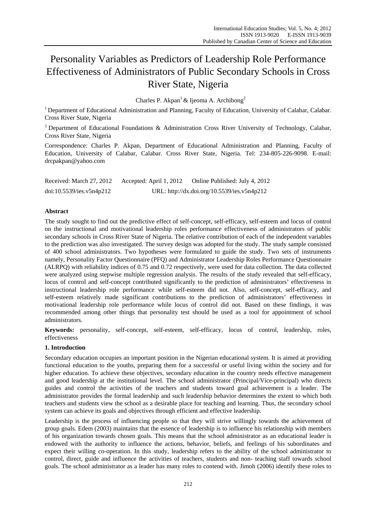# Personality Variables as Predictors of Leadership Role Performance Effectiveness of Administrators of Public Secondary Schools in Cross River State, Nigeria

Charles P. Akpan<sup>1</sup> & Ijeoma A. Archibong<sup>2</sup>

<sup>1</sup> Department of Educational Administration and Planning, Faculty of Education, University of Calabar, Calabar. Cross River State, Nigeria

2 Department of Educational Foundations & Administration Cross River University of Technology, Calabar, Cross River State, Nigeria

Correspondence: Charles P. Akpan, Department of Educational Administration and Planning, Faculty of Education, University of Calabar, Calabar. Cross River State, Nigeria. Tel: 234-805-226-9098. E-mail: drcpakpan@yahoo.com

| Received: March 27, 2012 | Accepted: April 1, 2012 | Online Published: July 4, 2012              |
|--------------------------|-------------------------|---------------------------------------------|
| doi:10.5539/ies.v5n4p212 |                         | URL: http://dx.doi.org/10.5539/ies.v5n4p212 |

# **Abstract**

The study sought to find out the predictive effect of self-concept, self-efficacy, self-esteem and locus of control on the instructional and motivational leadership roles performance effectiveness of administrators of public secondary schools in Cross River State of Nigeria. The relative contribution of each of the independent variables to the prediction was also investigated. The survey design was adopted for the study. The study sample consisted of 400 school administrators. Two hypotheses were formulated to guide the study. Two sets of instruments namely, Personality Factor Questionnaire (PFQ) and Administrator Leadership Roles Performance Questionnaire (ALRPQ) with reliability indices of 0.75 and 0.72 respectively, were used for data collection. The data collected were analyzed using stepwise multiple regression analysis. The results of the study revealed that self-efficacy, locus of control and self-concept contributed significantly to the prediction of administrators' effectiveness in instructional leadership role performance while self-esteem did not. Also, self-concept, self-efficacy, and self-esteem relatively made significant contributions to the prediction of administrators' effectiveness in motivational leadership role performance while locus of control did not. Based on these findings, it was recommended among other things that personality test should be used as a tool for appointment of school administrators.

**Keywords:** personality, self-concept, self-esteem, self-efficacy, locus of control, leadership, roles, effectiveness

## **1. Introduction**

Secondary education occupies an important position in the Nigerian educational system. It is aimed at providing functional education to the youths, preparing them for a successful or useful living within the society and for higher education. To achieve these objectives, secondary education in the country needs effective management and good leadership at the institutional level. The school administrator (Principal/Vice-principal) who directs guides and control the activities of the teachers and students toward goal achievement is a leader. The administrator provides the formal leadership and such leadership behavior determines the extent to which both teachers and students view the school as a desirable place for teaching and learning. Thus, the secondary school system can achieve its goals and objectives through efficient and effective leadership.

Leadership is the process of influencing people so that they will strive willingly towards the achievement of group goals. Edem (2003) maintains that the essence of leadership is to influence his relationship with members of his organization towards chosen goals. This means that the school administrator as an educational leader is endowed with the authority to influence the actions, behavior, beliefs, and feelings of his subordinates and expect their willing co-operation. In this study, leadership refers to the ability of the school administrator to control, direct, guide and influence the activities of teachers, students and non- teaching staff towards school goals. The school administrator as a leader has many roles to contend with. Jimoh (2006) identify these roles to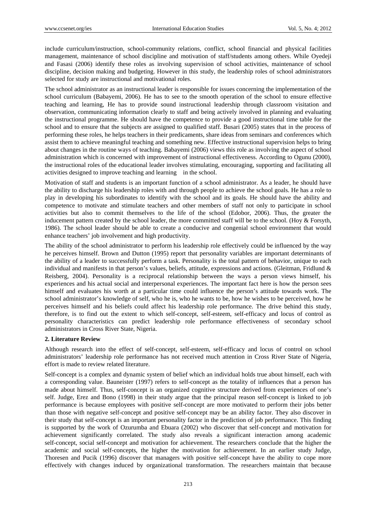include curriculum/instruction, school-community relations, conflict, school financial and physical facilities management, maintenance of school discipline and motivation of staff/students among others. While Oyedeji and Fasasi (2006) identify these roles as involving supervision of school activities, maintenance of school discipline, decision making and budgeting. However in this study, the leadership roles of school administrators selected for study are instructional and motivational roles.

The school administrator as an instructional leader is responsible for issues concerning the implementation of the school curriculum (Babayemi, 2006). He has to see to the smooth operation of the school to ensure effective teaching and learning, He has to provide sound instructional leadership through classroom visitation and observation, communicating information clearly to staff and being actively involved in planning and evaluating the instructional programme. He should have the competence to provide a good instructional time table for the school and to ensure that the subjects are assigned to qualified staff. Busari (2005) states that in the process of performing these roles, he helps teachers in their predicaments, share ideas from seminars and conferences which assist them to achieve meaningful teaching and something new. Effective instructional supervision helps to bring about changes in the routine ways of teaching. Babayemi (2006) views this role as involving the aspect of school administration which is concerned with improvement of instructional effectiveness. According to Ogunu (2000), the instructional roles of the educational leader involves stimulating, encouraging, supporting and facilitating all activities designed to improve teaching and learning in the school.

Motivation of staff and students is an important function of a school administrator. As a leader, he should have the ability to discharge his leadership roles with and through people to achieve the school goals. He has a role to play in developing his subordinates to identify with the school and its goals. He should have the ability and competence to motivate and stimulate teachers and other members of staff not only to participate in school activities but also to commit themselves to the life of the school (Edobor, 2006). Thus, the greater the inducement pattern created by the school leader, the more committed staff will be to the school. (Hoy & Forsyth, 1986). The school leader should be able to create a conducive and congenial school environment that would enhance teachers' job involvement and high productivity.

The ability of the school administrator to perform his leadership role effectively could be influenced by the way he perceives himself. Brown and Dutton (1995) report that personality variables are important determinants of the ability of a leader to successfully perform a task. Personality is the total pattern of behavior, unique to each individual and manifests in that person's values, beliefs, attitude, expressions and actions. (Gleitman, Fridlund & Reisberg, 2004). Personality is a reciprocal relationship between the ways a person views himself, his experiences and his actual social and interpersonal experiences. The important fact here is how the person sees himself and evaluates his worth at a particular time could influence the person's attitude towards work. The school administrator's knowledge of self, who he is, who he wants to be, how he wishes to be perceived, how he perceives himself and his beliefs could affect his leadership role performance. The drive behind this study, therefore, is to find out the extent to which self-concept, self-esteem, self-efficacy and locus of control as personality characteristics can predict leadership role performance effectiveness of secondary school administrators in Cross River State, Nigeria.

#### **2. Literature Review**

Although research into the effect of self-concept, self-esteem, self-efficacy and locus of control on school administrators' leadership role performance has not received much attention in Cross River State of Nigeria, effort is made to review related literature.

Self-concept is a complex and dynamic system of belief which an individual holds true about himself, each with a corresponding value. Bauneister (1997) refers to self-concept as the totality of influences that a person has made about himself. Thus, self-concept is an organized cognitive structure derived from experiences of one's self. Judge, Erez and Bono (1998) in their study argue that the principal reason self-concept is linked to job performance is because employees with positive self-concept are more motivated to perform their jobs better than those with negative self-concept and positive self-concept may be an ability factor. They also discover in their study that self-concept is an important personality factor in the prediction of job performance. This finding is supported by the work of Ozurumba and Ebuara (2002) who discover that self-concept and motivation for achievement significantly correlated. The study also reveals a significant interaction among academic self-concept, social self-concept and motivation for achievement. The researchers conclude that the higher the academic and social self-concepts, the higher the motivation for achievement. In an earlier study Judge, Thoresen and Pucik (1996) discover that managers with positive self-concept have the ability to cope more effectively with changes induced by organizational transformation. The researchers maintain that because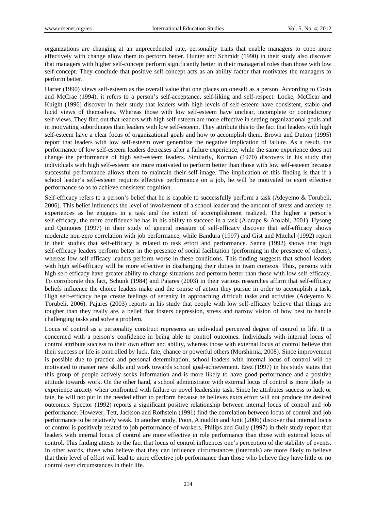organizations are changing at an unprecedented rate, personality traits that enable managers to cope more effectively with change allow them to perform better. Hunter and Schmidt (1990) in their study also discover that managers with higher self-concept perform significantly better in their managerial roles than those with low self-concept. They conclude that positive self-concept acts as an ability factor that motivates the managers to perform better.

Harter (1990) views self-esteem as the overall value that one places on oneself as a person. According to Costa and McCrae (1994), it refers to a person's self-acceptance, self-liking and self-respect. Locke, McClear and Knight (1996) discover in their study that leaders with high levels of self-esteem have consistent, stable and lucid views of themselves. Whereas those with low self-esteem have unclear, incomplete or contradictory self-views. They find out that leaders with high self-esteem are more effective in setting organizational goals and in motivating subordinates than leaders with low self-esteem. They attribute this to the fact that leaders with high self-esteem have a clear focus of organizational goals and how to accomplish them. Brown and Dutton (1995) report that leaders with low self-esteem over generalize the negative implication of failure. As a result, the performance of low self-esteem leaders decreases after a failure experience, while the same experience does not change the performance of high self-esteem leaders. Similarly, Korman (1970) discovers in his study that individuals with high self-esteem are more motivated to perform better than those with low self-esteem because successful performance allows them to maintain their self-image. The implication of this finding is that if a school leader's self-esteem requires effective performance on a job, he will be motivated to exert effective performance so as to achieve consistent cognition.

Self-efficacy refers to a person's belief that he is capable to successfully perform a task (Adeyemo & Torubeli, 2006). This belief influences the level of involvement of a school leader and the amount of stress and anxiety he experiences as he engages in a task and the extent of accomplishment realized. The higher a person's self-efficacy, the more confidence he has in his ability to succeed in a task (Alarape & Afolabi, 2001). Hysong and Quinones (1997) in their study of general measure of self-efficacy discover that self-efficacy shows moderate non-zero correlation with job performance, while Bandura (1997) and Gist and Mitchel (1992) report in their studies that self-efficacy is related to task effort and performance. Sanna (1992) shows that high self-efficacy leaders perform better in the presence of social facilitation (performing in the presence of others), whereas low self-efficacy leaders perform worse in these conditions. This finding suggests that school leaders with high self-efficacy will be more effective in discharging their duties in team contexts. Thus, persons with high self-efficacy have greater ability to change situations and perform better than those with low self-efficacy. To corroborate this fact, Schunk (1984) and Pajares (2003) in their various researches affirm that self-efficacy beliefs influence the choice leaders make and the course of action they pursue in order to accomplish a task. High self-efficacy helps create feelings of serenity in approaching difficult tasks and activities (Adeyemo & Torubeli, 2006). Pajares (2003) reports in his study that people with low self-efficacy believe that things are tougher than they really are, a belief that fosters depression, stress and narrow vision of how best to handle challenging tasks and solve a problem.

Locus of control as a personality construct represents an individual perceived degree of control in life. It is concerned with a person's confidence in being able to control outcomes. Individuals with internal locus of control attribute success to their own effort and ability, whereas those with external locus of control believe that their success or life is controlled by luck, fate, chance or powerful others (Morshirnia, 2008). Since improvement is possible due to practice and personal determination, school leaders with internal locus of control will be motivated to master new skills and work towards school goal-achievement. Erez (1997) in his study states that this group of people actively seeks information and is more likely to have good performance and a positive attitude towards work. On the other hand, a school administrator with external locus of control is more likely to experience anxiety when confronted with failure or novel leadership task. Since he attributes success to luck or fate, he will not put in the needed effort to perform because he believes extra effort will not produce the desired outcomes. Spector (1992) reports a significant positive relationship between internal locus of control and job performance. However, Tett, Jackson and Rothstein (1991) find the correlation between locus of control and job performance to be relatively weak. In another study, Poon, Ainuddin and Junit (2006) discover that internal locus of control is positively related to job performance of workers. Philips and Gully (1997) in their study report that leaders with internal locus of control are more effective in role performance than those with external locus of control. This finding attests to the fact that locus of control influences one's perception of the stability of events. In other words, those who believe that they can influence circumstances (internals) are more likely to believe that their level of effort will lead to more effective job performance than those who believe they have little or no control over circumstances in their life.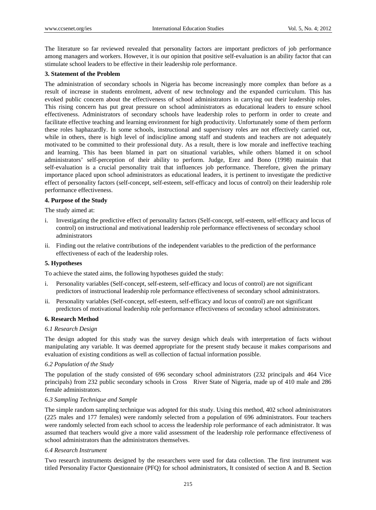The literature so far reviewed revealed that personality factors are important predictors of job performance among managers and workers. However, it is our opinion that positive self-evaluation is an ability factor that can stimulate school leaders to be effective in their leadership role performance.

## **3. Statement of the Problem**

The administration of secondary schools in Nigeria has become increasingly more complex than before as a result of increase in students enrolment, advent of new technology and the expanded curriculum. This has evoked public concern about the effectiveness of school administrators in carrying out their leadership roles. This rising concern has put great pressure on school administrators as educational leaders to ensure school effectiveness. Administrators of secondary schools have leadership roles to perform in order to create and facilitate effective teaching and learning environment for high productivity. Unfortunately some of them perform these roles haphazardly. In some schools, instructional and supervisory roles are not effectively carried out, while in others, there is high level of indiscipline among staff and students and teachers are not adequately motivated to be committed to their professional duty. As a result, there is low morale and ineffective teaching and learning. This has been blamed in part on situational variables, while others blamed it on school administrators' self-perception of their ability to perform. Judge, Erez and Bono (1998) maintain that self-evaluation is a crucial personality trait that influences job performance. Therefore, given the primary importance placed upon school administrators as educational leaders, it is pertinent to investigate the predictive effect of personality factors (self-concept, self-esteem, self-efficacy and locus of control) on their leadership role performance effectiveness.

#### **4. Purpose of the Study**

The study aimed at:

- i. Investigating the predictive effect of personality factors (Self-concept, self-esteem, self-efficacy and locus of control) on instructional and motivational leadership role performance effectiveness of secondary school administrators
- ii. Finding out the relative contributions of the independent variables to the prediction of the performance effectiveness of each of the leadership roles.

#### **5. Hypotheses**

To achieve the stated aims, the following hypotheses guided the study:

- i. Personality variables (Self-concept, self-esteem, self-efficacy and locus of control) are not significant predictors of instructional leadership role performance effectiveness of secondary school administrators.
- ii. Personality variables (Self-concept, self-esteem, self-efficacy and locus of control) are not significant predictors of motivational leadership role performance effectiveness of secondary school administrators.

#### **6. Research Method**

#### *6.1 Research Design*

The design adopted for this study was the survey design which deals with interpretation of facts without manipulating any variable. It was deemed appropriate for the present study because it makes comparisons and evaluation of existing conditions as well as collection of factual information possible.

#### *6.2 Population of the Study*

The population of the study consisted of 696 secondary school administrators (232 principals and 464 Vice principals) from 232 public secondary schools in Cross River State of Nigeria, made up of 410 male and 286 female administrators.

#### *6.3 Sampling Technique and Sample*

The simple random sampling technique was adopted for this study. Using this method, 402 school administrators (225 males and 177 females) were randomly selected from a population of 696 administrators. Four teachers were randomly selected from each school to access the leadership role performance of each administrator. It was assumed that teachers would give a more valid assessment of the leadership role performance effectiveness of school administrators than the administrators themselves.

#### *6.4 Research Instrument*

Two research instruments designed by the researchers were used for data collection. The first instrument was titled Personality Factor Questionnaire (PFQ) for school administrators, It consisted of section A and B. Section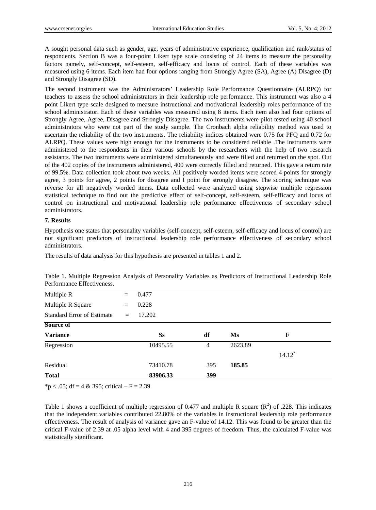A sought personal data such as gender, age, years of administrative experience, qualification and rank/status of respondents. Section B was a four-point Likert type scale consisting of 24 items to measure the personality factors namely, self-concept, self-esteem, self-efficacy and locus of control. Each of these variables was measured using 6 items. Each item had four options ranging from Strongly Agree (SA), Agree (A) Disagree (D) and Strongly Disagree (SD).

The second instrument was the Administrators' Leadership Role Performance Questionnaire (ALRPQ) for teachers to assess the school administrators in their leadership role performance. This instrument was also a 4 point Likert type scale designed to measure instructional and motivational leadership roles performance of the school administrator. Each of these variables was measured using 8 items. Each item also had four options of Strongly Agree, Agree, Disagree and Strongly Disagree. The two instruments were pilot tested using 40 school administrators who were not part of the study sample. The Cronbach alpha reliability method was used to ascertain the reliability of the two instruments. The reliability indices obtained were 0.75 for PFQ and 0.72 for ALRPQ. These values were high enough for the instruments to be considered reliable .The instruments were administered to the respondents in their various schools by the researchers with the help of two research assistants. The two instruments were administered simultaneously and were filled and returned on the spot. Out of the 402 copies of the instruments administered, 400 were correctly filled and returned. This gave a return rate of 99.5%. Data collection took about two weeks. All positively worded items were scored 4 points for strongly agree, 3 points for agree, 2 points for disagree and I point for strongly disagree. The scoring technique was reverse for all negatively worded items. Data collected were analyzed using stepwise multiple regression statistical technique to find out the predictive effect of self-concept, self-esteem, self-efficacy and locus of control on instructional and motivational leadership role performance effectiveness of secondary school administrators.

#### **7. Results**

Hypothesis one states that personality variables (self-concept, self-esteem, self-efficacy and locus of control) are not significant predictors of instructional leadership role performance effectiveness of secondary school administrators.

The results of data analysis for this hypothesis are presented in tables 1 and 2.

| <b>Total</b>                      |     | 83906.33 | 399 |         |          |  |
|-----------------------------------|-----|----------|-----|---------|----------|--|
| Residual                          |     | 73410.78 | 395 | 185.85  |          |  |
|                                   |     |          |     |         | $14.12*$ |  |
| Regression                        |     | 10495.55 | 4   | 2623.89 |          |  |
| <b>Variance</b>                   |     | $S_{S}$  | df  | Ms      | F        |  |
| Source of                         |     |          |     |         |          |  |
| <b>Standard Error of Estimate</b> | $=$ | 17.202   |     |         |          |  |
| Multiple R Square                 | $=$ | 0.228    |     |         |          |  |
| Multiple R                        | $=$ | 0.477    |     |         |          |  |
|                                   |     |          |     |         |          |  |

Table 1. Multiple Regression Analysis of Personality Variables as Predictors of Instructional Leadership Role Performance Effectiveness.

 $*p < .05$ ; df = 4 & 395; critical – F = 2.39

Table 1 shows a coefficient of multiple regression of 0.477 and multiple R square  $(R^2)$  of .228. This indicates that the independent variables contributed 22.80% of the variables in instructional leadership role performance effectiveness. The result of analysis of variance gave an F-value of 14.12. This was found to be greater than the critical F-value of 2.39 at .05 alpha level with 4 and 395 degrees of freedom. Thus, the calculated F-value was statistically significant.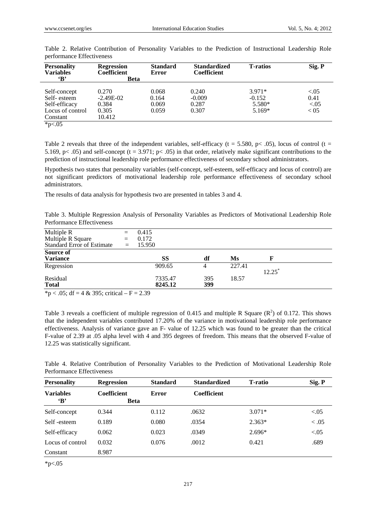| <b>Personality</b><br><b>Variables</b>    | <b>Regression</b><br><b>Coefficient</b> | <b>Standard</b><br>Error | <b>Standardized</b><br>Coefficient | <b>T-ratios</b> | Sig. P    |
|-------------------------------------------|-----------------------------------------|--------------------------|------------------------------------|-----------------|-----------|
| $\mathbf{B}$                              | <b>Beta</b>                             |                          |                                    |                 |           |
| Self-concept                              | 0.270                                   | 0.068                    | 0.240                              | $3.971*$        | ${<}0.05$ |
| Self-esteem                               | $-2.49E-02$                             | 0.164                    | $-0.009$                           | $-0.152$        | 0.41      |
| Self-efficacy                             | 0.384                                   | 0.069                    | 0.287                              | 5.580*          | < 0.05    |
| Locus of control                          | 0.305                                   | 0.059                    | 0.307                              | $5.169*$        | < 0.5     |
| Constant                                  | 10.412                                  |                          |                                    |                 |           |
| $\frac{1}{2}$ $\frac{1}{2}$ $\frac{1}{2}$ |                                         |                          |                                    |                 |           |

Table 2. Relative Contribution of Personality Variables to the Prediction of Instructional Leadership Role performance Effectiveness

\*p<.05

Table 2 reveals that three of the independent variables, self-efficacy (t = 5.580, p< .05), locus of control (t = 5.169, p $\lt$  .05) and self-concept (t = 3.971; p $\lt$  .05) in that order, relatively make significant contributions to the prediction of instructional leadership role performance effectiveness of secondary school administrators.

Hypothesis two states that personality variables (self-concept, self-esteem, self-efficacy and locus of control) are not significant predictors of motivational leadership role performance effectiveness of secondary school administrators.

The results of data analysis for hypothesis two are presented in tables 3 and 4.

Table 3. Multiple Regression Analysis of Personality Variables as Predictors of Motivational Leadership Role Performance Effectiveness

| Multiple R                        | $=$ | 0.415   |     |        |           |  |
|-----------------------------------|-----|---------|-----|--------|-----------|--|
| Multiple R Square                 |     | 0.172   |     |        |           |  |
| <b>Standard Error of Estimate</b> | $=$ | 15.950  |     |        |           |  |
| Source of                         |     |         |     |        |           |  |
| <b>Variance</b>                   |     | SS      | df  | Ms     |           |  |
| Regression                        |     | 909.65  | 4   | 227.41 |           |  |
|                                   |     |         |     |        | $12.25^*$ |  |
| Residual                          |     | 7335.47 | 395 | 18.57  |           |  |
| <b>Total</b>                      |     | 8245.12 | 399 |        |           |  |
|                                   |     |         |     |        |           |  |

 $*p < .05$ ; df = 4 & 395; critical – F = 2.39

Table 3 reveals a coefficient of multiple regression of 0.415 and multiple R Square  $(R^2)$  of 0.172. This shows that the independent variables contributed 17.20% of the variance in motivational leadership role performance effectiveness. Analysis of variance gave an F- value of 12.25 which was found to be greater than the critical F-value of 2.39 at .05 alpha level with 4 and 395 degrees of freedom. This means that the observed F-value of 12.25 was statistically significant.

Table 4. Relative Contribution of Personality Variables to the Prediction of Motivational Leadership Role Performance Effectiveness

| <b>Personality</b>               | <b>Regression</b>          | <b>Standard</b> | <b>Standardized</b> | <b>T</b> -ratio | Sig. P |
|----------------------------------|----------------------------|-----------------|---------------------|-----------------|--------|
| <b>Variables</b><br>$\mathbf{B}$ | <b>Coefficient</b><br>Beta | Error           | Coefficient         |                 |        |
| Self-concept                     | 0.344                      | 0.112           | .0632               | $3.071*$        | <0.05  |
| Self-esteem                      | 0.189                      | 0.080           | .0354               | $2.363*$        | < 0.05 |
| Self-efficacy                    | 0.062                      | 0.023           | .0349               | $2.696*$        | <0.05  |
| Locus of control                 | 0.032                      | 0.076           | .0012               | 0.421           | .689   |
| Constant                         | 8.987                      |                 |                     |                 |        |

 $*p<.05$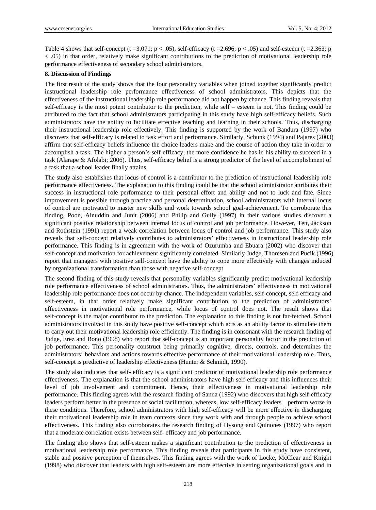Table 4 shows that self-concept (t = 3.071; p < .05), self-efficacy (t = 2.696; p < .05) and self-esteem (t = 2.363; p < .05) in that order, relatively make significant contributions to the prediction of motivational leadership role performance effectiveness of secondary school administrators.

## **8. Discussion of Findings**

The first result of the study shows that the four personality variables when joined together significantly predict instructional leadership role performance effectiveness of school administrators. This depicts that the effectiveness of the instructional leadership role performance did not happen by chance. This finding reveals that self-efficacy is the most potent contributor to the prediction, while self – esteem is not. This finding could be attributed to the fact that school administrators participating in this study have high self-efficacy beliefs. Such administrators have the ability to facilitate effective teaching and learning in their schools. Thus, discharging their instructional leadership role effectively. This finding is supported by the work of Bandura (1997) who discovers that self-efficacy is related to task effort and performance. Similarly, Schunk (1994) and Pajares (2003) affirm that self-efficacy beliefs influence the choice leaders make and the course of action they take in order to accomplish a task. The higher a person's self-efficacy, the more confidence he has in his ability to succeed in a task (Alarape & Afolabi; 2006). Thus, self-efficacy belief is a strong predictor of the level of accomplishment of a task that a school leader finally attains.

The study also establishes that locus of control is a contributor to the prediction of instructional leadership role performance effectiveness. The explanation to this finding could be that the school administrator attributes their success in instructional role performance to their personal effort and ability and not to luck and fate. Since improvement is possible through practice and personal determination, school administrators with internal locus of control are motivated to master new skills and work towards school goal-achievement. To corroborate this finding, Poon, Ainuddin and Junit (2006) and Philip and Gully (1997) in their various studies discover a significant positive relationship between internal locus of control and job performance. However, Tett, Jackson and Rothstein (1991) report a weak correlation between locus of control and job performance. This study also reveals that self-concept relatively contributes to administrators' effectiveness in instructional leadership role performance. This finding is in agreement with the work of Ozurumba and Ebuara (2002) who discover that self-concept and motivation for achievement significantly correlated. Similarly Judge, Thoresen and Pucik (1996) report that managers with positive self-concept have the ability to cope more effectively with changes induced by organizational transformation than those with negative self-concept

The second finding of this study reveals that personality variables significantly predict motivational leadership role performance effectiveness of school administrators. Thus, the administrators' effectiveness in motivational leadership role performance does not occur by chance. The independent variables, self-concept, self-efficacy and self-esteem, in that order relatively make significant contribution to the prediction of administrators' effectiveness in motivational role performance, while locus of control does not. The result shows that self-concept is the major contributor to the prediction. The explanation to this finding is not far-fetched. School administrators involved in this study have positive self-concept which acts as an ability factor to stimulate them to carry out their motivational leadership role efficiently. The finding is in consonant with the research finding of Judge, Erez and Bono (1998) who report that self-concept is an important personality factor in the prediction of job performance. This personality construct being primarily cognitive, directs, controls, and determines the administrators' behaviors and actions towards effective performance of their motivational leadership role. Thus, self-concept is predictive of leadership effectiveness (Hunter & Schmidt, 1990).

The study also indicates that self- efficacy is a significant predictor of motivational leadership role performance effectiveness. The explanation is that the school administrators have high self-efficacy and this influences their level of job involvement and commitment. Hence, their effectiveness in motivational leadership role performance. This finding agrees with the research finding of Sanna (1992) who discovers that high self-efficacy leaders perform better in the presence of social facilitation, whereas, low self-efficacy leaders perform worse in these conditions. Therefore, school administrators with high self-efficacy will be more effective in discharging their motivational leadership role in team contexts since they work with and through people to achieve school effectiveness. This finding also corroborates the research finding of Hysong and Quinones (1997) who report that a moderate correlation exists between self- efficacy and job performance.

The finding also shows that self-esteem makes a significant contribution to the prediction of effectiveness in motivational leadership role performance. This finding reveals that participants in this study have consistent, stable and positive perception of themselves. This finding agrees with the work of Locke, McClear and Knight (1998) who discover that leaders with high self-esteem are more effective in setting organizational goals and in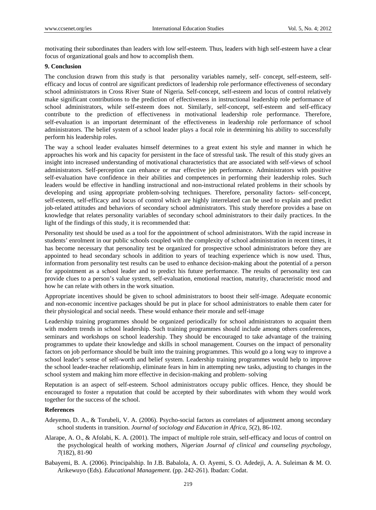motivating their subordinates than leaders with low self-esteem. Thus, leaders with high self-esteem have a clear focus of organizational goals and how to accomplish them.

#### **9. Conclusion**

The conclusion drawn from this study is that personality variables namely, self- concept, self-esteem, selfefficacy and locus of control are significant predictors of leadership role performance effectiveness of secondary school administrators in Cross River State of Nigeria. Self-concept, self-esteem and locus of control relatively make significant contributions to the prediction of effectiveness in instructional leadership role performance of school administrators, while self-esteem does not. Similarly, self-concept, self-esteem and self-efficacy contribute to the prediction of effectiveness in motivational leadership role performance. Therefore, self-evaluation is an important determinant of the effectiveness in leadership role performance of school administrators. The belief system of a school leader plays a focal role in determining his ability to successfully perform his leadership roles.

The way a school leader evaluates himself determines to a great extent his style and manner in which he approaches his work and his capacity for persistent in the face of stressful task. The result of this study gives an insight into increased understanding of motivational characteristics that are associated with self-views of school administrators. Self-perception can enhance or mar effective job performance. Administrators with positive self-evaluation have confidence in their abilities and competences in performing their leadership roles. Such leaders would be effective in handling instructional and non-instructional related problems in their schools by developing and using appropriate problem-solving techniques. Therefore, personality factors- self-concept, self-esteem, self-efficacy and locus of control which are highly interrelated can be used to explain and predict job-related attitudes and behaviors of secondary school administrators. This study therefore provides a base on knowledge that relates personality variables of secondary school administrators to their daily practices. In the light of the findings of this study, it is recommended that:

Personality test should be used as a tool for the appointment of school administrators. With the rapid increase in students' enrolment in our public schools coupled with the complexity of school administration in recent times, it has become necessary that personality test be organized for prospective school administrators before they are appointed to head secondary schools in addition to years of teaching experience which is now used. Thus, information from personality test results can be used to enhance decision-making about the potential of a person for appointment as a school leader and to predict his future performance. The results of personality test can provide clues to a person's value system, self-evaluation, emotional reaction, maturity, characteristic mood and how he can relate with others in the work situation.

Appropriate incentives should be given to school administrators to boost their self-image. Adequate economic and non-economic incentive packages should be put in place for school administrators to enable them cater for their physiological and social needs. These would enhance their morale and self-image

Leadership training programmes should be organized periodically for school administrators to acquaint them with modern trends in school leadership. Such training programmes should include among others conferences, seminars and workshops on school leadership. They should be encouraged to take advantage of the training programmes to update their knowledge and skills in school management. Courses on the impact of personality factors on job performance should be built into the training programmes. This would go a long way to improve a school leader's sense of self-worth and belief system. Leadership training programmes would help to improve the school leader-teacher relationship, eliminate fears in him in attempting new tasks, adjusting to changes in the school system and making him more effective in decision-making and problem- solving

Reputation is an aspect of self-esteem. School administrators occupy public offices. Hence, they should be encouraged to foster a reputation that could be accepted by their subordinates with whom they would work together for the success of the school.

## **References**

- Adeyemo, D. A., & Torubeli, V. A. (2006). Psycho-social factors as correlates of adjustment among secondary school students in transition. *Journal of sociology and Education in Africa, 5*(2), 86-102.
- Alarape, A. O., & Afolabi, K. A. (2001). The impact of multiple role strain, self-efficacy and locus of control on the psychological health of working mothers, *Nigerian Journal of clinical and counseling psychology*, *7*(182), 81-90
- Babayemi, B. A. (2006). Principalship. In J.B. Babalola, A. O. Ayemi, S. O. Adedeji, A. A. Suleiman & M. O. Arikewuyo (Eds). *Educational Management*. (pp. 242-261). Ibadan: Codat.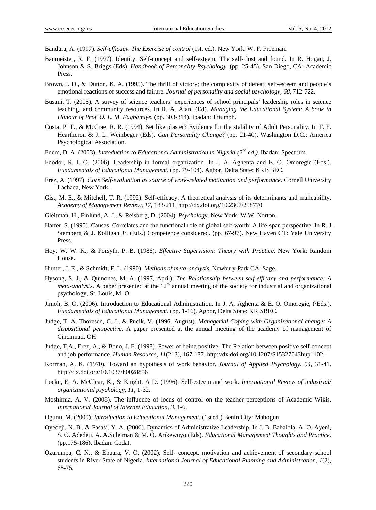Bandura, A. (1997). *Self-efficacy. The Exercise of control* (1st. ed.). New York. W. F. Freeman.

- Baumeister, R. F. (1997). Identity, Self-concept and self-esteem. The self- lost and found. In R. Hogan, J. Johnson & S. Briggs (Eds). *Handbook of Personality Psychology*. (pp. 25-45). San Diego, CA: Academic Press.
- Brown, J. D., & Dutton, K. A. (1995). The thrill of victory; the complexity of defeat; self-esteem and people's emotional reactions of success and failure. *Journal of personality and social psychology, 68,* 712-722.
- Busani, T. (2005). A survey of science teachers' experiences of school principals' leadership roles in science teaching, and community resources. In R. A. Alani (Ed). *Managing the Educational System: A book in Honour of Prof. O. E. M. Fagbamiye*. (pp. 303-314). Ibadan: Triumph.
- Costa, P. T., & McCrae, R. R. (1994). Set like plaster? Evidence for the stability of Adult Personality. In T. F. Heartheron & J. L. Weinbeger (Eds). *Can Personality Change*? (pp. 21-40). Washington D.C.: America Psychological Association.
- Edem, D. A. (2003). *Introduction to Educational Administration in Nigeria (2nd ed.).* Ibadan: Spectrum.
- Edodor, R. I. O. (2006). Leadership in formal organization. In J. A. Aghenta and E. O. Omoregie (Eds.). *Fundamentals of Educational Management*. (pp. 79-104). Agbor, Delta State: KRISBEC.
- Erez, A. (1997). *Core Self-evaluation as source of work-related motivation and performance*. Cornell University Lachaca, New York.
- Gist, M. E., & Mitchell, T. R. (1992). Self-efficacy: A theoretical analysis of its determinants and malleability. *Academy of Management Review, 17*, 183-211. http://dx.doi.org/10.2307/258770
- Gleitman, H., Finlund, A. J., & Reisberg, D. (2004). *Psychology*. New York: W.W. Norton.
- Harter, S. (1990). Causes, Correlates and the functional role of global self-worth: A life-span perspective. In R. J. Stemberg & J. Kolligan Jr. (Eds.) Competence considered. (pp. 67-97). New Haven CT: Yale University Press.
- Hoy, W. W. K., & Forsyth, P. B. (1986). *Effective Supervision: Theory with Practice*. New York: Random House.
- Hunter, J. E., & Schmidt, F. L. (1990). *Methods of meta-analysis.* Newbury Park CA: Sage.
- Hysong, S. J., & Quinones, M. A. (1997, April). *The Relationship between self-efficacy and performance: A meta-analysis*. A paper presented at the  $12<sup>th</sup>$  annual meeting of the society for industrial and organizational psychology, St. Louis, M. O.
- Jimoh, B. O. (2006). Introduction to Educational Administration. In J. A. Aghenta & E. O. Omoregie, (\Eds.). *Fundamentals of Educational Management*. (pp. 1-16). Agbor, Delta State: KRISBEC.
- Judge, T. A. Thoresen, C. J., & Pucik, V. (1996, August). *Managerial Coping with Organizational change: A dispositional perspective*. A paper presented at the annual meeting of the academy of management of Cincinnati, OH
- Judge, T.A., Erez, A., & Bono, J. E. (1998). Power of being positive: The Relation between positive self-concept and job performance. *Human Resource, 11*(213), 167-187. http://dx.doi.org/10.1207/S15327043hup1102.
- Korman, A. K. (1970). Toward an hypothesis of work behavior. *Journal of Applied Psychology*, *54*, 31-41. http://dx.doi.org/10.1037/h0028856
- Locke, E. A. McClear, K., & Knight, A D. (1996). Self-esteem and work. *International Review of industrial/ organizational psychology, 11*, 1-32.
- Moshirnia, A. V. (2008). The influence of locus of control on the teacher perceptions of Academic Wikis. *International Journal of Internet Education*, *3*, 1-6.
- Ogunu, M. (2000). *Introduction to Educational Management.* (1st ed.) Benin City: Mabogun.
- Oyedeji, N. B., & Fasasi, Y. A. (2006). Dynamics of Administrative Leadership. In J. B. Babalola, A. O. Ayeni, S. O. Adedeji, A. A.Suleiman & M. O. Arikewuyo (Eds). *Educational Management Thoughts and Practice*. (pp.175-186). Ibadan: Codat.
- Ozurumba, C. N., & Ebuara, V. O. (2002). Self- concept, motivation and achievement of secondary school students in River State of Nigeria. *International Journal of Educational Planning and Administration*, *1*(2), 65-75.